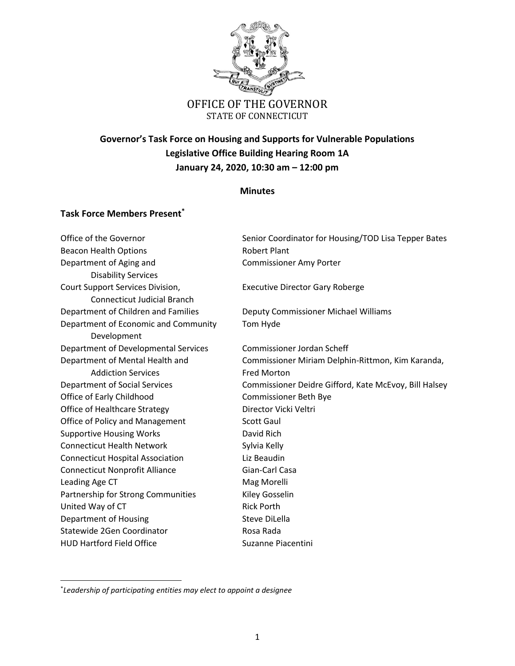

## **Governor's Task Force on Housing and Supports for Vulnerable Populations Legislative Office Building Hearing Room 1A January 24, 2020, 10:30 am – 12:00 pm**

## **Minutes**

## **Task Force Members Present\***

Office of the Governor Senior Coordinator for Housing/TOD Lisa Tepper Bates Beacon Health Options **Robert Plant** Department of Aging and Theorem Commissioner Amy Porter Disability Services Court Support Services Division, Executive Director Gary Roberge Connecticut Judicial Branch Department of Children and Families Deputy Commissioner Michael Williams Department of Economic and Community Tom Hyde Development Department of Developmental Services Commissioner Jordan Scheff Department of Mental Health and Commissioner Miriam Delphin-Rittmon, Kim Karanda, Addiction Services **Fred Morton** Department of Social Services Commissioner Deidre Gifford, Kate McEvoy, Bill Halsey Office of Early Childhood Commissioner Beth Bye Office of Healthcare Strategy Director Vicki Veltri Office of Policy and Management Scott Gaul Supportive Housing Works **David Rich** Connecticut Health Network **Sylvia Kelly** Connecticut Hospital Association Liz Beaudin Connecticut Nonprofit Alliance Gian-Carl Casa Leading Age CT and Mag Morelli Partnership for Strong Communities Kiley Gosselin United Way of CT Rick Porth Department of Housing Steve DiLella Statewide 2Gen Coordinator **Rosa Rada** HUD Hartford Field Office Suzanne Piacentini

 $\overline{\phantom{a}}$ 

<sup>\*</sup> *Leadership of participating entities may elect to appoint a designee*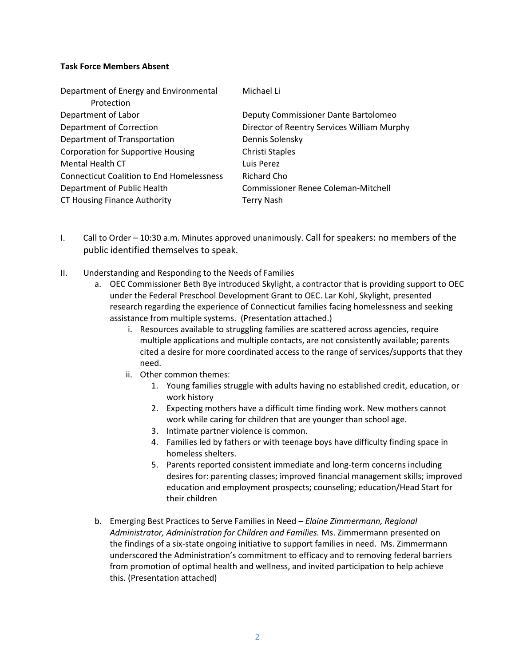## **Task Force Members Absent**

| Department of Energy and Environmental           | Michael Li                                  |
|--------------------------------------------------|---------------------------------------------|
| Protection                                       |                                             |
| Department of Labor                              | Deputy Commissioner Dante Bartolomeo        |
| <b>Department of Correction</b>                  | Director of Reentry Services William Murphy |
| Department of Transportation                     | Dennis Solensky                             |
| <b>Corporation for Supportive Housing</b>        | Christi Staples                             |
| <b>Mental Health CT</b>                          | Luis Perez                                  |
| <b>Connecticut Coalition to End Homelessness</b> | Richard Cho                                 |
| Department of Public Health                      | Commissioner Renee Coleman-Mitchell         |
| <b>CT Housing Finance Authority</b>              | Terry Nash                                  |

- I. Call to Order 10:30 a.m. Minutes approved unanimously. Call for speakers: no members of the public identified themselves to speak.
- II. Understanding and Responding to the Needs of Families
	- a. OEC Commissioner Beth Bye introduced Skylight, a contractor that is providing support to OEC under the Federal Preschool Development Grant to OEC. Lar Kohl, Skylight, presented research regarding the experience of Connecticut families facing homelessness and seeking assistance from multiple systems. (Presentation attached.)
		- i. Resources available to struggling families are scattered across agencies, require multiple applications and multiple contacts, are not consistently available; parents cited a desire for more coordinated access to the range of services/supports that they need.
		- ii. Other common themes:
			- 1. Young families struggle with adults having no established credit, education, or work history
			- 2. Expecting mothers have a difficult time finding work. New mothers cannot work while caring for children that are younger than school age.
			- 3. Intimate partner violence is common.
			- 4. Families led by fathers or with teenage boys have difficulty finding space in homeless shelters.
			- 5. Parents reported consistent immediate and long-term concerns including desires for: parenting classes; improved financial management skills; improved education and employment prospects; counseling; education/Head Start for their children
	- b. Emerging Best Practices to Serve Families in Need *Elaine Zimmermann, Regional Administrator, Administration for Children and Families.* Ms. Zimmermann presented on the findings of a six-state ongoing initiative to support families in need. Ms. Zimmermann underscored the Administration's commitment to efficacy and to removing federal barriers from promotion of optimal health and wellness, and invited participation to help achieve this. (Presentation attached)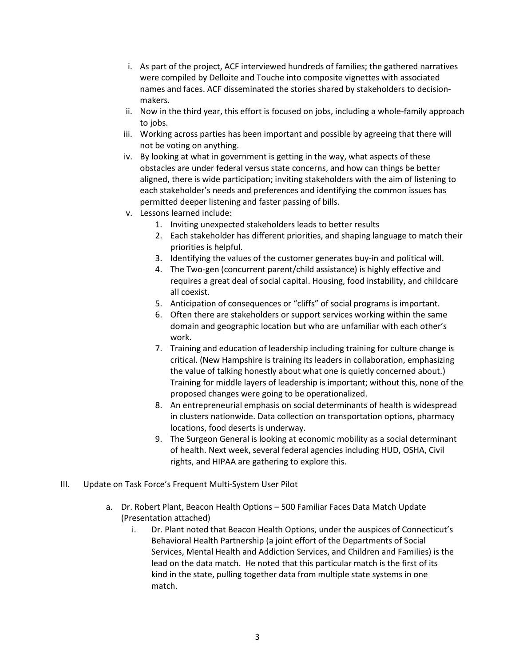- i. As part of the project, ACF interviewed hundreds of families; the gathered narratives were compiled by Delloite and Touche into composite vignettes with associated names and faces. ACF disseminated the stories shared by stakeholders to decisionmakers.
- ii. Now in the third year, this effort is focused on jobs, including a whole-family approach to jobs.
- iii. Working across parties has been important and possible by agreeing that there will not be voting on anything.
- iv. By looking at what in government is getting in the way, what aspects of these obstacles are under federal versus state concerns, and how can things be better aligned, there is wide participation; inviting stakeholders with the aim of listening to each stakeholder's needs and preferences and identifying the common issues has permitted deeper listening and faster passing of bills.
- v. Lessons learned include:
	- 1. Inviting unexpected stakeholders leads to better results
	- 2. Each stakeholder has different priorities, and shaping language to match their priorities is helpful.
	- 3. Identifying the values of the customer generates buy-in and political will.
	- 4. The Two-gen (concurrent parent/child assistance) is highly effective and requires a great deal of social capital. Housing, food instability, and childcare all coexist.
	- 5. Anticipation of consequences or "cliffs" of social programs is important.
	- 6. Often there are stakeholders or support services working within the same domain and geographic location but who are unfamiliar with each other's work.
	- 7. Training and education of leadership including training for culture change is critical. (New Hampshire is training its leaders in collaboration, emphasizing the value of talking honestly about what one is quietly concerned about.) Training for middle layers of leadership is important; without this, none of the proposed changes were going to be operationalized.
	- 8. An entrepreneurial emphasis on social determinants of health is widespread in clusters nationwide. Data collection on transportation options, pharmacy locations, food deserts is underway.
	- 9. The Surgeon General is looking at economic mobility as a social determinant of health. Next week, several federal agencies including HUD, OSHA, Civil rights, and HIPAA are gathering to explore this.
- III. Update on Task Force's Frequent Multi-System User Pilot
	- a. Dr. Robert Plant, Beacon Health Options 500 Familiar Faces Data Match Update (Presentation attached)
		- i. Dr. Plant noted that Beacon Health Options, under the auspices of Connecticut's Behavioral Health Partnership (a joint effort of the Departments of Social Services, Mental Health and Addiction Services, and Children and Families) is the lead on the data match. He noted that this particular match is the first of its kind in the state, pulling together data from multiple state systems in one match.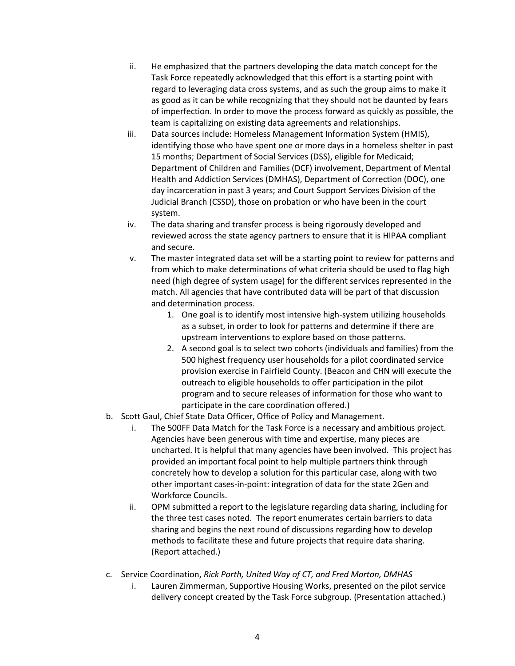- ii. He emphasized that the partners developing the data match concept for the Task Force repeatedly acknowledged that this effort is a starting point with regard to leveraging data cross systems, and as such the group aims to make it as good as it can be while recognizing that they should not be daunted by fears of imperfection. In order to move the process forward as quickly as possible, the team is capitalizing on existing data agreements and relationships.
- iii. Data sources include: Homeless Management Information System (HMIS), identifying those who have spent one or more days in a homeless shelter in past 15 months; Department of Social Services (DSS), eligible for Medicaid; Department of Children and Families (DCF) involvement, Department of Mental Health and Addiction Services (DMHAS), Department of Correction (DOC), one day incarceration in past 3 years; and Court Support Services Division of the Judicial Branch (CSSD), those on probation or who have been in the court system.
- iv. The data sharing and transfer process is being rigorously developed and reviewed across the state agency partners to ensure that it is HIPAA compliant and secure.
- v. The master integrated data set will be a starting point to review for patterns and from which to make determinations of what criteria should be used to flag high need (high degree of system usage) for the different services represented in the match. All agencies that have contributed data will be part of that discussion and determination process.
	- 1. One goal is to identify most intensive high-system utilizing households as a subset, in order to look for patterns and determine if there are upstream interventions to explore based on those patterns.
	- 2. A second goal is to select two cohorts (individuals and families) from the 500 highest frequency user households for a pilot coordinated service provision exercise in Fairfield County. (Beacon and CHN will execute the outreach to eligible households to offer participation in the pilot program and to secure releases of information for those who want to participate in the care coordination offered.)
- b. Scott Gaul, Chief State Data Officer, Office of Policy and Management.
	- i. The 500FF Data Match for the Task Force is a necessary and ambitious project. Agencies have been generous with time and expertise, many pieces are uncharted. It is helpful that many agencies have been involved. This project has provided an important focal point to help multiple partners think through concretely how to develop a solution for this particular case, along with two other important cases-in-point: integration of data for the state 2Gen and Workforce Councils.
	- ii. OPM submitted a report to the legislature regarding data sharing, including for the three test cases noted. The report enumerates certain barriers to data sharing and begins the next round of discussions regarding how to develop methods to facilitate these and future projects that require data sharing. (Report attached.)
- c. Service Coordination, *Rick Porth, United Way of CT, and Fred Morton, DMHAS*
	- i. Lauren Zimmerman, Supportive Housing Works, presented on the pilot service delivery concept created by the Task Force subgroup. (Presentation attached.)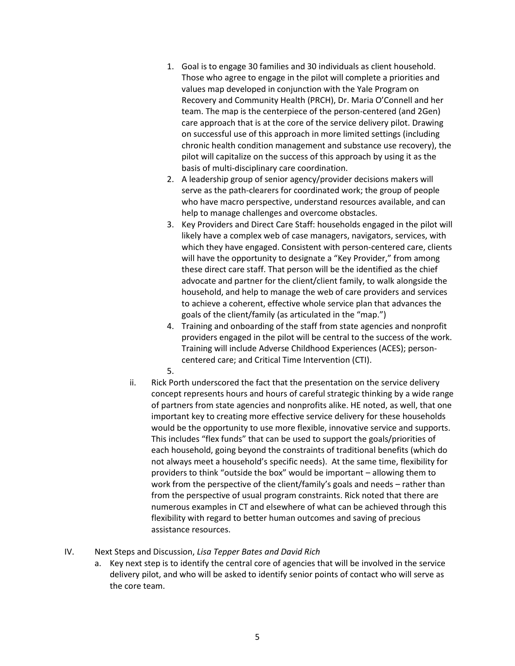- 1. Goal is to engage 30 families and 30 individuals as client household. Those who agree to engage in the pilot will complete a priorities and values map developed in conjunction with the Yale Program on Recovery and Community Health (PRCH), Dr. Maria O'Connell and her team. The map is the centerpiece of the person-centered (and 2Gen) care approach that is at the core of the service delivery pilot. Drawing on successful use of this approach in more limited settings (including chronic health condition management and substance use recovery), the pilot will capitalize on the success of this approach by using it as the basis of multi-disciplinary care coordination.
- 2. A leadership group of senior agency/provider decisions makers will serve as the path-clearers for coordinated work; the group of people who have macro perspective, understand resources available, and can help to manage challenges and overcome obstacles.
- 3. Key Providers and Direct Care Staff: households engaged in the pilot will likely have a complex web of case managers, navigators, services, with which they have engaged. Consistent with person-centered care, clients will have the opportunity to designate a "Key Provider," from among these direct care staff. That person will be the identified as the chief advocate and partner for the client/client family, to walk alongside the household, and help to manage the web of care providers and services to achieve a coherent, effective whole service plan that advances the goals of the client/family (as articulated in the "map.")
- 4. Training and onboarding of the staff from state agencies and nonprofit providers engaged in the pilot will be central to the success of the work. Training will include Adverse Childhood Experiences (ACES); personcentered care; and Critical Time Intervention (CTI).
- 5.
- ii. Rick Porth underscored the fact that the presentation on the service delivery concept represents hours and hours of careful strategic thinking by a wide range of partners from state agencies and nonprofits alike. HE noted, as well, that one important key to creating more effective service delivery for these households would be the opportunity to use more flexible, innovative service and supports. This includes "flex funds" that can be used to support the goals/priorities of each household, going beyond the constraints of traditional benefits (which do not always meet a household's specific needs). At the same time, flexibility for providers to think "outside the box" would be important – allowing them to work from the perspective of the client/family's goals and needs – rather than from the perspective of usual program constraints. Rick noted that there are numerous examples in CT and elsewhere of what can be achieved through this flexibility with regard to better human outcomes and saving of precious assistance resources.
- IV. Next Steps and Discussion, *Lisa Tepper Bates and David Rich*
	- a. Key next step is to identify the central core of agencies that will be involved in the service delivery pilot, and who will be asked to identify senior points of contact who will serve as the core team.